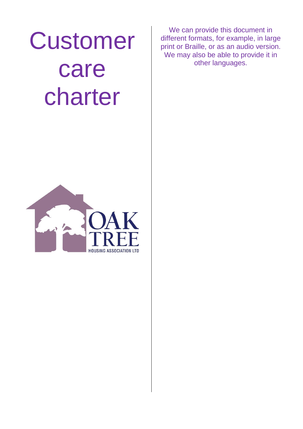# Customer care charter

**HOUSING ASSOCIATION LTD** 

We can provide this document in different formats, for example, in large print or Braille, or as an audio version. We may also be able to provide it in other languages.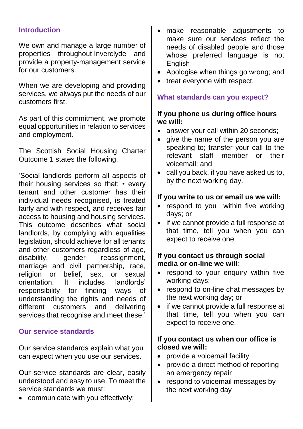## **Introduction**

We own and manage a large number of properties throughout Inverclyde and provide a property-management service for our customers.

When we are developing and providing services, we always put the needs of our customers first.

As part of this commitment, we promote equal opportunities in relation to services and employment.

The Scottish Social Housing Charter Outcome 1 states the following.

'Social landlords perform all aspects of their housing services so that: • every tenant and other customer has their individual needs recognised, is treated fairly and with respect, and receives fair access to housing and housing services. This outcome describes what social landlords, by complying with equalities legislation, should achieve for all tenants and other customers regardless of age, disability, gender reassignment, marriage and civil partnership, race, religion or belief, sex, or sexual orientation. It includes landlords' responsibility for finding ways of understanding the rights and needs of different customers and delivering services that recognise and meet these.'

#### **Our service standards**

Our service standards explain what you can expect when you use our services.

Our service standards are clear, easily understood and easy to use. To meet the service standards we must:

communicate with you effectively;

- make reasonable adjustments to make sure our services reflect the needs of disabled people and those whose preferred language is not English
- Apologise when things go wrong; and
- treat everyone with respect.

## **What standards can you expect?**

#### **If you phone us during office hours we will:**

- answer your call within 20 seconds;
- give the name of the person you are speaking to; transfer your call to the relevant staff member or their voicemail; and
- call you back, if you have asked us to, by the next working day.

### **If you write to us or email us we will:**

- respond to you within five working days; or
- if we cannot provide a full response at that time, tell you when you can expect to receive one.

## **If you contact us through social media or on-line we will**:

- respond to your enquiry within five working days;
- respond to on-line chat messages by the next working day; or
- if we cannot provide a full response at that time, tell you when you can expect to receive one.

### **If you contact us when our office is closed we will:**

- provide a voicemail facility
- provide a direct method of reporting an emergency repair
- respond to voicemail messages by the next working day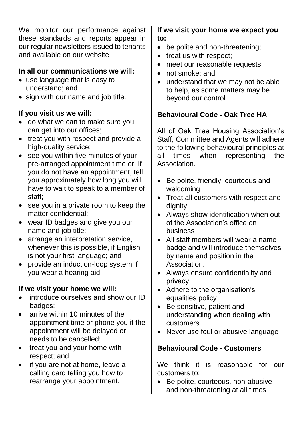We monitor our performance against these standards and reports appear in our regular newsletters issued to tenants and available on our website

# **In all our communications we will:**

- use language that is easy to understand; and
- sign with our name and job title.

# **If you visit us we will:**

- do what we can to make sure you can get into our offices;
- treat you with respect and provide a high-quality service;
- see you within five minutes of your pre-arranged appointment time or, if you do not have an appointment, tell you approximately how long you will have to wait to speak to a member of staff;
- see you in a private room to keep the matter confidential;
- wear ID badges and give you our name and job title;
- arrange an interpretation service, whenever this is possible, if English is not your first language; and
- provide an induction-loop system if you wear a hearing aid.

# **If we visit your home we will:**

- introduce ourselves and show our ID badges;
- arrive within 10 minutes of the appointment time or phone you if the appointment will be delayed or needs to be cancelled;
- treat you and your home with respect; and
- if you are not at home, leave a calling card telling you how to rearrange your appointment.

## **If we visit your home we expect you to:**

- be polite and non-threatening;
- treat us with respect:
- meet our reasonable requests;
- not smoke; and
- understand that we may not be able to help, as some matters may be beyond our control.

# **Behavioural Code - Oak Tree HA**

All of Oak Tree Housing Association's Staff, Committee and Agents will adhere to the following behavioural principles at all times when representing the Association.

- Be polite, friendly, courteous and welcoming
- Treat all customers with respect and dignity
- Always show identification when out of the Association's office on business
- All staff members will wear a name badge and will introduce themselves by name and position in the Association.
- Always ensure confidentiality and privacy
- Adhere to the organisation's equalities policy
- Be sensitive, patient and understanding when dealing with customers
- Never use foul or abusive language

# **Behavioural Code - Customers**

We think it is reasonable for our customers to:

 Be polite, courteous, non-abusive and non-threatening at all times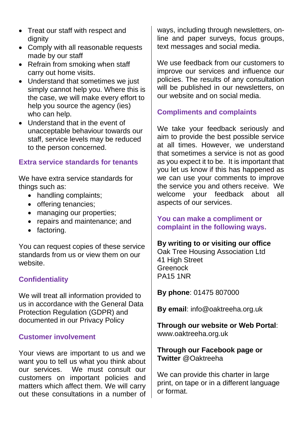- Treat our staff with respect and dignity
- Comply with all reasonable requests made by our staff
- Refrain from smoking when staff carry out home visits.
- Understand that sometimes we just simply cannot help you. Where this is the case, we will make every effort to help you source the agency (ies) who can help.
- Understand that in the event of unacceptable behaviour towards our staff, service levels may be reduced to the person concerned.

# **Extra service standards for tenants**

We have extra service standards for things such as:

- handling complaints;
- offering tenancies;
- managing our properties;
- repairs and maintenance; and
- factoring.

You can request copies of these service standards from us or view them on our website.

## **Confidentiality**

We will treat all information provided to us in accordance with the General Data Protection Regulation (GDPR) and documented in our Privacy Policy

## **Customer involvement**

Your views are important to us and we want you to tell us what you think about our services. We must consult our customers on important policies and matters which affect them. We will carry out these consultations in a number of

ways, including through newsletters, online and paper surveys, focus groups, text messages and social media.

We use feedback from our customers to improve our services and influence our policies. The results of any consultation will be published in our newsletters, on our website and on social media.

## **Compliments and complaints**

We take your feedback seriously and aim to provide the best possible service at all times. However, we understand that sometimes a service is not as good as you expect it to be. It is important that you let us know if this has happened as we can use your comments to improve the service you and others receive. We welcome your feedback about all aspects of our services.

## **You can make a compliment or complaint in the following ways.**

## **By writing to or visiting our office**

Oak Tree Housing Association Ltd 41 High Street **Greenock** PA15 1NR

**By phone**: 01475 807000

**By email**: info@oaktreeha.org.uk

**Through our website or Web Portal**: www.oaktreeha.org.uk

**Through our Facebook page or Twitter** @Oaktreeha

We can provide this charter in large print, on tape or in a different language or format.